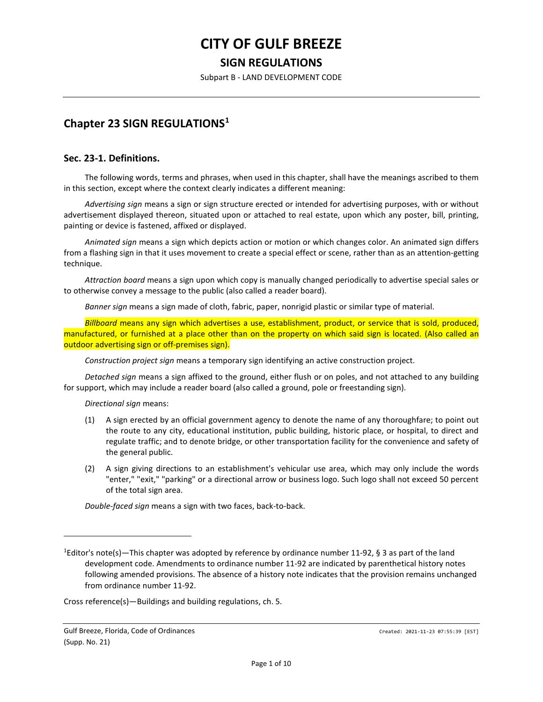# **CITY OF GULF BREEZE SIGN REGULATIONS**

Subpart B - LAND DEVELOPMENT CODE

# **Chapter 23 SIGN REGULATIONS[1](#page-0-0)**

#### **Sec. 23-1. Definitions.**

The following words, terms and phrases, when used in this chapter, shall have the meanings ascribed to them in this section, except where the context clearly indicates a different meaning:

*Advertising sign* means a sign or sign structure erected or intended for advertising purposes, with or without advertisement displayed thereon, situated upon or attached to real estate, upon which any poster, bill, printing, painting or device is fastened, affixed or displayed.

*Animated sign* means a sign which depicts action or motion or which changes color. An animated sign differs from a flashing sign in that it uses movement to create a special effect or scene, rather than as an attention-getting technique.

*Attraction board* means a sign upon which copy is manually changed periodically to advertise special sales or to otherwise convey a message to the public (also called a reader board).

*Banner sign* means a sign made of cloth, fabric, paper, nonrigid plastic or similar type of material.

*Billboard* means any sign which advertises a use, establishment, product, or service that is sold, produced, manufactured, or furnished at a place other than on the property on which said sign is located. (Also called an outdoor advertising sign or off-premises sign).

*Construction project sign* means a temporary sign identifying an active construction project.

*Detached sign* means a sign affixed to the ground, either flush or on poles, and not attached to any building for support, which may include a reader board (also called a ground, pole or freestanding sign).

*Directional sign* means:

- (1) A sign erected by an official government agency to denote the name of any thoroughfare; to point out the route to any city, educational institution, public building, historic place, or hospital, to direct and regulate traffic; and to denote bridge, or other transportation facility for the convenience and safety of the general public.
- (2) A sign giving directions to an establishment's vehicular use area, which may only include the words "enter," "exit," "parking" or a directional arrow or business logo. Such logo shall not exceed 50 percent of the total sign area.

*Double-faced sign* means a sign with two faces, back-to-back.

Cross reference(s)—Buildings and building regulations, ch. 5.

<span id="page-0-0"></span><sup>&</sup>lt;sup>1</sup>Editor's note(s)—This chapter was adopted by reference by ordinance number 11-92, § 3 as part of the land development code. Amendments to ordinance number 11-92 are indicated by parenthetical history notes following amended provisions. The absence of a history note indicates that the provision remains unchanged from ordinance number 11-92.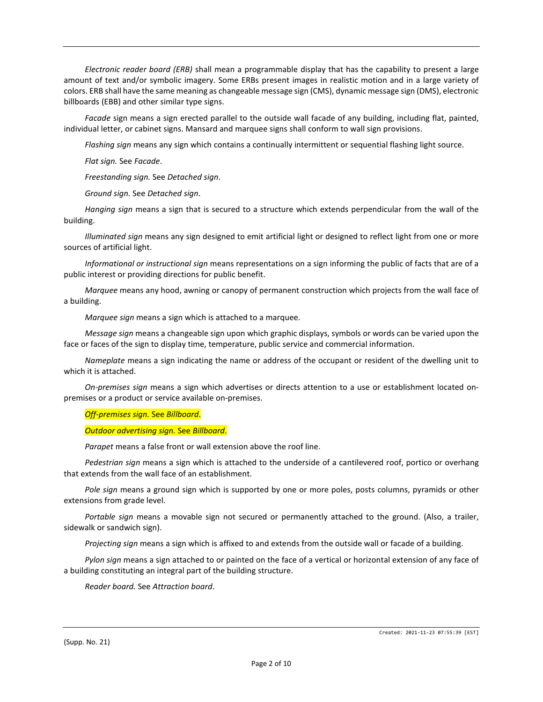*Electronic reader board (ERB)* shall mean a programmable display that has the capability to present a large amount of text and/or symbolic imagery. Some ERBs present images in realistic motion and in a large variety of colors. ERB shall have the same meaning as changeable message sign (CMS), dynamic message sign (DMS), electronic billboards (EBB) and other similar type signs.

*Facade* sign means a sign erected parallel to the outside wall facade of any building, including flat, painted, individual letter, or cabinet signs. Mansard and marquee signs shall conform to wall sign provisions.

*Flashing sign* means any sign which contains a continually intermittent or sequential flashing light source.

*Flat sign.* See *Facade*.

*Freestanding sign.* See *Detached sign*.

*Ground sign.* See *Detached sign*.

*Hanging sign* means a sign that is secured to a structure which extends perpendicular from the wall of the building.

*Illuminated sign* means any sign designed to emit artificial light or designed to reflect light from one or more sources of artificial light.

*Informational or instructional sign* means representations on a sign informing the public of facts that are of a public interest or providing directions for public benefit.

*Marquee* means any hood, awning or canopy of permanent construction which projects from the wall face of a building.

*Marquee sign* means a sign which is attached to a marquee.

*Message sign* means a changeable sign upon which graphic displays, symbols or words can be varied upon the face or faces of the sign to display time, temperature, public service and commercial information.

*Nameplate* means a sign indicating the name or address of the occupant or resident of the dwelling unit to which it is attached.

*On-premises sign* means a sign which advertises or directs attention to a use or establishment located onpremises or a product or service available on-premises.

*Off-premises sign.* See *Billboard*.

*Outdoor advertising sign.* See *Billboard*.

*Parapet* means a false front or wall extension above the roof line.

*Pedestrian sign* means a sign which is attached to the underside of a cantilevered roof, portico or overhang that extends from the wall face of an establishment.

*Pole sign* means a ground sign which is supported by one or more poles, posts columns, pyramids or other extensions from grade level.

*Portable sign* means a movable sign not secured or permanently attached to the ground. (Also, a trailer, sidewalk or sandwich sign).

*Projecting sign* means a sign which is affixed to and extends from the outside wall or facade of a building.

*Pylon sign* means a sign attached to or painted on the face of a vertical or horizontal extension of any face of a building constituting an integral part of the building structure.

*Reader board.* See *Attraction board*.

(Supp. No. 21)

Created: 2021-11-23 07:55:39 [EST]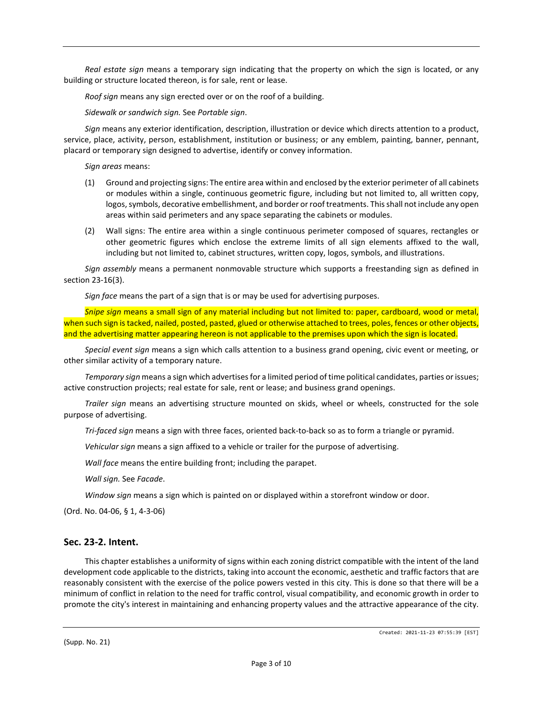*Real estate sign* means a temporary sign indicating that the property on which the sign is located, or any building or structure located thereon, is for sale, rent or lease.

*Roof sign* means any sign erected over or on the roof of a building.

*Sidewalk or sandwich sign.* See *Portable sign*.

*Sign* means any exterior identification, description, illustration or device which directs attention to a product, service, place, activity, person, establishment, institution or business; or any emblem, painting, banner, pennant, placard or temporary sign designed to advertise, identify or convey information.

*Sign areas* means:

- (1) Ground and projecting signs: The entire area within and enclosed by the exterior perimeter of all cabinets or modules within a single, continuous geometric figure, including but not limited to, all written copy, logos, symbols, decorative embellishment, and border or roof treatments. This shall not include any open areas within said perimeters and any space separating the cabinets or modules.
- (2) Wall signs: The entire area within a single continuous perimeter composed of squares, rectangles or other geometric figures which enclose the extreme limits of all sign elements affixed to the wall, including but not limited to, cabinet structures, written copy, logos, symbols, and illustrations.

*Sign assembly* means a permanent nonmovable structure which supports a freestanding sign as defined in section 23-16(3).

*Sign face* means the part of a sign that is or may be used for advertising purposes.

*Snipe sign* means a small sign of any material including but not limited to: paper, cardboard, wood or metal, when such sign is tacked, nailed, posted, pasted, glued or otherwise attached to trees, poles, fences or other objects, and the advertising matter appearing hereon is not applicable to the premises upon which the sign is located.

*Special event sign* means a sign which calls attention to a business grand opening, civic event or meeting, or other similar activity of a temporary nature.

*Temporary sign* means a sign which advertises for a limited period of time political candidates, parties or issues; active construction projects; real estate for sale, rent or lease; and business grand openings.

*Trailer sign* means an advertising structure mounted on skids, wheel or wheels, constructed for the sole purpose of advertising.

*Tri-faced sign* means a sign with three faces, oriented back-to-back so as to form a triangle or pyramid.

*Vehicular sign* means a sign affixed to a vehicle or trailer for the purpose of advertising.

*Wall face* means the entire building front; including the parapet.

*Wall sign.* See *Facade*.

*Window sign* means a sign which is painted on or displayed within a storefront window or door.

(Ord. No. 04-06, § 1, 4-3-06)

#### **Sec. 23-2. Intent.**

This chapter establishes a uniformity of signs within each zoning district compatible with the intent of the land development code applicable to the districts, taking into account the economic, aesthetic and traffic factors that are reasonably consistent with the exercise of the police powers vested in this city. This is done so that there will be a minimum of conflict in relation to the need for traffic control, visual compatibility, and economic growth in order to promote the city's interest in maintaining and enhancing property values and the attractive appearance of the city.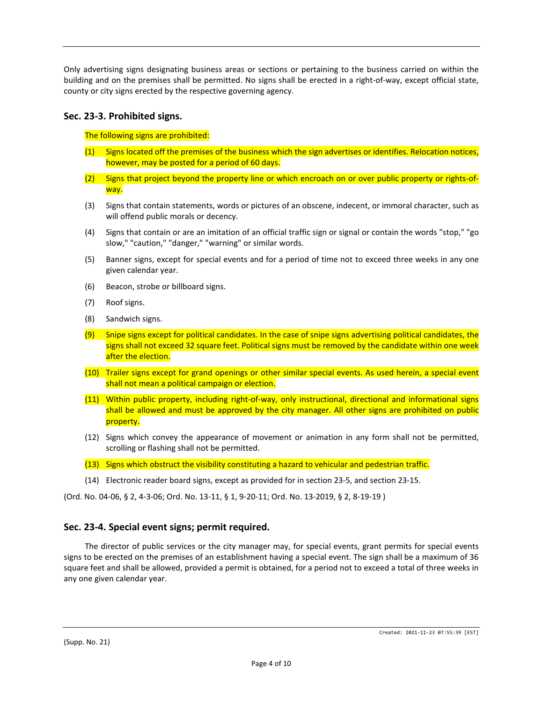Only advertising signs designating business areas or sections or pertaining to the business carried on within the building and on the premises shall be permitted. No signs shall be erected in a right-of-way, except official state, county or city signs erected by the respective governing agency.

# **Sec. 23-3. Prohibited signs.**

The following signs are prohibited:

- (1) Signs located off the premises of the business which the sign advertises or identifies. Relocation notices, however, may be posted for a period of 60 days.
- (2) Signs that project beyond the property line or which encroach on or over public property or rights-ofway.
- (3) Signs that contain statements, words or pictures of an obscene, indecent, or immoral character, such as will offend public morals or decency.
- (4) Signs that contain or are an imitation of an official traffic sign or signal or contain the words "stop," "go slow," "caution," "danger," "warning" or similar words.
- (5) Banner signs, except for special events and for a period of time not to exceed three weeks in any one given calendar year.
- (6) Beacon, strobe or billboard signs.
- (7) Roof signs.
- (8) Sandwich signs.
- (9) Snipe signs except for political candidates. In the case of snipe signs advertising political candidates, the signs shall not exceed 32 square feet. Political signs must be removed by the candidate within one week after the election.
- (10) Trailer signs except for grand openings or other similar special events. As used herein, a special event shall not mean a political campaign or election.
- (11) Within public property, including right-of-way, only instructional, directional and informational signs shall be allowed and must be approved by the city manager. All other signs are prohibited on public property.
- (12) Signs which convey the appearance of movement or animation in any form shall not be permitted, scrolling or flashing shall not be permitted.
- (13) Signs which obstruct the visibility constituting a hazard to vehicular and pedestrian traffic.
- (14) Electronic reader board signs, except as provided for in section 23-5, and section 23-15.

(Ord. No. 04-06, § 2, 4-3-06; Ord. No. 13-11, § 1, 9-20-11; Ord. No. 13-2019, § 2, 8-19-19 )

#### **Sec. 23-4. Special event signs; permit required.**

The director of public services or the city manager may, for special events, grant permits for special events signs to be erected on the premises of an establishment having a special event. The sign shall be a maximum of 36 square feet and shall be allowed, provided a permit is obtained, for a period not to exceed a total of three weeks in any one given calendar year.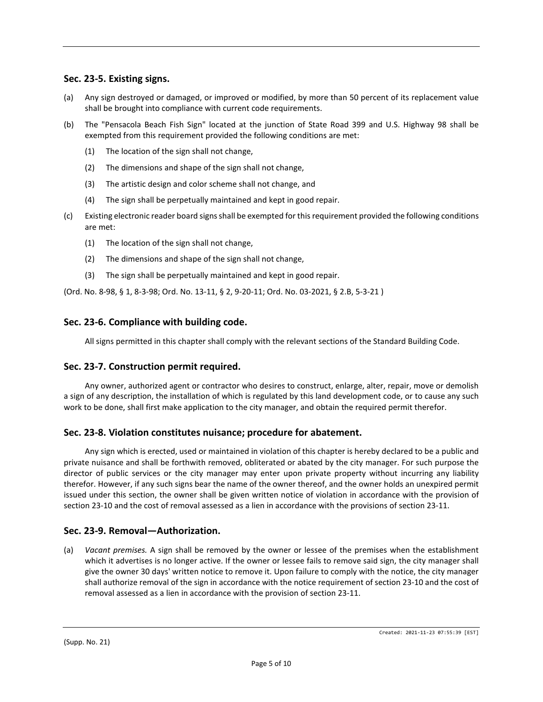# **Sec. 23-5. Existing signs.**

- (a) Any sign destroyed or damaged, or improved or modified, by more than 50 percent of its replacement value shall be brought into compliance with current code requirements.
- (b) The "Pensacola Beach Fish Sign" located at the junction of State Road 399 and U.S. Highway 98 shall be exempted from this requirement provided the following conditions are met:
	- (1) The location of the sign shall not change,
	- (2) The dimensions and shape of the sign shall not change,
	- (3) The artistic design and color scheme shall not change, and
	- (4) The sign shall be perpetually maintained and kept in good repair.
- (c) Existing electronic reader board signs shall be exempted for this requirement provided the following conditions are met:
	- (1) The location of the sign shall not change,
	- (2) The dimensions and shape of the sign shall not change,
	- (3) The sign shall be perpetually maintained and kept in good repair.

(Ord. No. 8-98, § 1, 8-3-98; Ord. No. 13-11, § 2, 9-20-11; Ord. No. 03-2021, § 2.B, 5-3-21 )

#### **Sec. 23-6. Compliance with building code.**

All signs permitted in this chapter shall comply with the relevant sections of the Standard Building Code.

#### **Sec. 23-7. Construction permit required.**

Any owner, authorized agent or contractor who desires to construct, enlarge, alter, repair, move or demolish a sign of any description, the installation of which is regulated by this land development code, or to cause any such work to be done, shall first make application to the city manager, and obtain the required permit therefor.

#### **Sec. 23-8. Violation constitutes nuisance; procedure for abatement.**

Any sign which is erected, used or maintained in violation of this chapter is hereby declared to be a public and private nuisance and shall be forthwith removed, obliterated or abated by the city manager. For such purpose the director of public services or the city manager may enter upon private property without incurring any liability therefor. However, if any such signs bear the name of the owner thereof, and the owner holds an unexpired permit issued under this section, the owner shall be given written notice of violation in accordance with the provision of section 23-10 and the cost of removal assessed as a lien in accordance with the provisions of section 23-11.

#### **Sec. 23-9. Removal—Authorization.**

(a) *Vacant premises.* A sign shall be removed by the owner or lessee of the premises when the establishment which it advertises is no longer active. If the owner or lessee fails to remove said sign, the city manager shall give the owner 30 days' written notice to remove it. Upon failure to comply with the notice, the city manager shall authorize removal of the sign in accordance with the notice requirement of section 23-10 and the cost of removal assessed as a lien in accordance with the provision of section 23-11.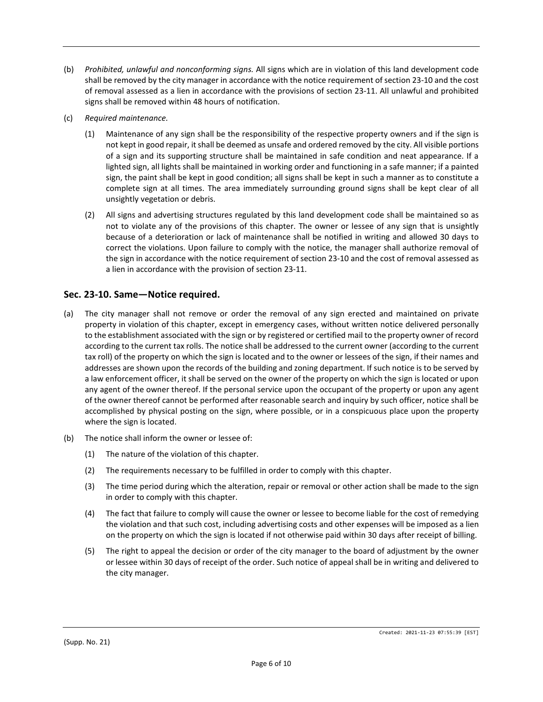- (b) *Prohibited, unlawful and nonconforming signs.* All signs which are in violation of this land development code shall be removed by the city manager in accordance with the notice requirement of section 23-10 and the cost of removal assessed as a lien in accordance with the provisions of section 23-11. All unlawful and prohibited signs shall be removed within 48 hours of notification.
- (c) *Required maintenance.*
	- (1) Maintenance of any sign shall be the responsibility of the respective property owners and if the sign is not kept in good repair, it shall be deemed as unsafe and ordered removed by the city. All visible portions of a sign and its supporting structure shall be maintained in safe condition and neat appearance. If a lighted sign, all lights shall be maintained in working order and functioning in a safe manner; if a painted sign, the paint shall be kept in good condition; all signs shall be kept in such a manner as to constitute a complete sign at all times. The area immediately surrounding ground signs shall be kept clear of all unsightly vegetation or debris.
	- (2) All signs and advertising structures regulated by this land development code shall be maintained so as not to violate any of the provisions of this chapter. The owner or lessee of any sign that is unsightly because of a deterioration or lack of maintenance shall be notified in writing and allowed 30 days to correct the violations. Upon failure to comply with the notice, the manager shall authorize removal of the sign in accordance with the notice requirement of section 23-10 and the cost of removal assessed as a lien in accordance with the provision of section 23-11.

# **Sec. 23-10. Same—Notice required.**

- (a) The city manager shall not remove or order the removal of any sign erected and maintained on private property in violation of this chapter, except in emergency cases, without written notice delivered personally to the establishment associated with the sign or by registered or certified mail to the property owner of record according to the current tax rolls. The notice shall be addressed to the current owner (according to the current tax roll) of the property on which the sign is located and to the owner or lessees of the sign, if their names and addresses are shown upon the records of the building and zoning department. If such notice is to be served by a law enforcement officer, it shall be served on the owner of the property on which the sign is located or upon any agent of the owner thereof. If the personal service upon the occupant of the property or upon any agent of the owner thereof cannot be performed after reasonable search and inquiry by such officer, notice shall be accomplished by physical posting on the sign, where possible, or in a conspicuous place upon the property where the sign is located.
- (b) The notice shall inform the owner or lessee of:
	- (1) The nature of the violation of this chapter.
	- (2) The requirements necessary to be fulfilled in order to comply with this chapter.
	- (3) The time period during which the alteration, repair or removal or other action shall be made to the sign in order to comply with this chapter.
	- (4) The fact that failure to comply will cause the owner or lessee to become liable for the cost of remedying the violation and that such cost, including advertising costs and other expenses will be imposed as a lien on the property on which the sign is located if not otherwise paid within 30 days after receipt of billing.
	- (5) The right to appeal the decision or order of the city manager to the board of adjustment by the owner or lessee within 30 days of receipt of the order. Such notice of appeal shall be in writing and delivered to the city manager.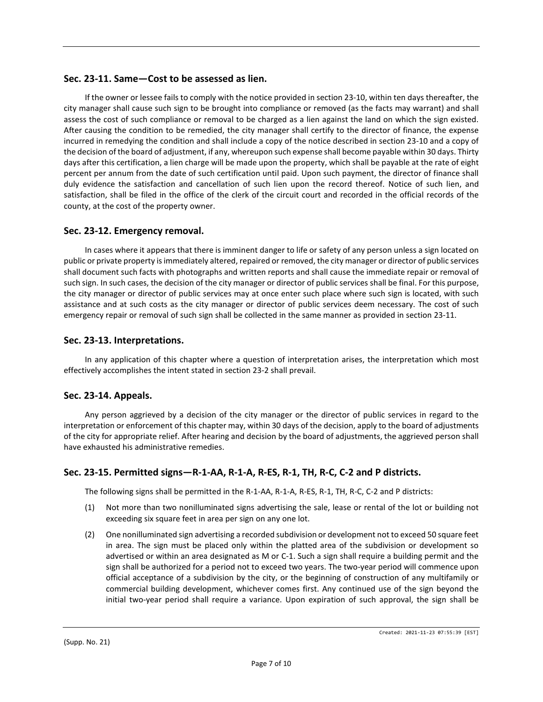# **Sec. 23-11. Same—Cost to be assessed as lien.**

If the owner or lessee fails to comply with the notice provided in section 23-10, within ten days thereafter, the city manager shall cause such sign to be brought into compliance or removed (as the facts may warrant) and shall assess the cost of such compliance or removal to be charged as a lien against the land on which the sign existed. After causing the condition to be remedied, the city manager shall certify to the director of finance, the expense incurred in remedying the condition and shall include a copy of the notice described in section 23-10 and a copy of the decision of the board of adjustment, if any, whereupon such expense shall become payable within 30 days. Thirty days after this certification, a lien charge will be made upon the property, which shall be payable at the rate of eight percent per annum from the date of such certification until paid. Upon such payment, the director of finance shall duly evidence the satisfaction and cancellation of such lien upon the record thereof. Notice of such lien, and satisfaction, shall be filed in the office of the clerk of the circuit court and recorded in the official records of the county, at the cost of the property owner.

#### **Sec. 23-12. Emergency removal.**

In cases where it appears that there is imminent danger to life or safety of any person unless a sign located on public or private property is immediately altered, repaired or removed, the city manager or director of public services shall document such facts with photographs and written reports and shall cause the immediate repair or removal of such sign. In such cases, the decision of the city manager or director of public services shall be final. For this purpose, the city manager or director of public services may at once enter such place where such sign is located, with such assistance and at such costs as the city manager or director of public services deem necessary. The cost of such emergency repair or removal of such sign shall be collected in the same manner as provided in section 23-11.

#### **Sec. 23-13. Interpretations.**

In any application of this chapter where a question of interpretation arises, the interpretation which most effectively accomplishes the intent stated in section 23-2 shall prevail.

#### **Sec. 23-14. Appeals.**

Any person aggrieved by a decision of the city manager or the director of public services in regard to the interpretation or enforcement of this chapter may, within 30 days of the decision, apply to the board of adjustments of the city for appropriate relief. After hearing and decision by the board of adjustments, the aggrieved person shall have exhausted his administrative remedies.

# **Sec. 23-15. Permitted signs—R-1-AA, R-1-A, R-ES, R-1, TH, R-C, C-2 and P districts.**

The following signs shall be permitted in the R-1-AA, R-1-A, R-ES, R-1, TH, R-C, C-2 and P districts:

- (1) Not more than two nonilluminated signs advertising the sale, lease or rental of the lot or building not exceeding six square feet in area per sign on any one lot.
- (2) One nonilluminated sign advertising a recorded subdivision or development not to exceed 50 square feet in area. The sign must be placed only within the platted area of the subdivision or development so advertised or within an area designated as M or C-1. Such a sign shall require a building permit and the sign shall be authorized for a period not to exceed two years. The two-year period will commence upon official acceptance of a subdivision by the city, or the beginning of construction of any multifamily or commercial building development, whichever comes first. Any continued use of the sign beyond the initial two-year period shall require a variance. Upon expiration of such approval, the sign shall be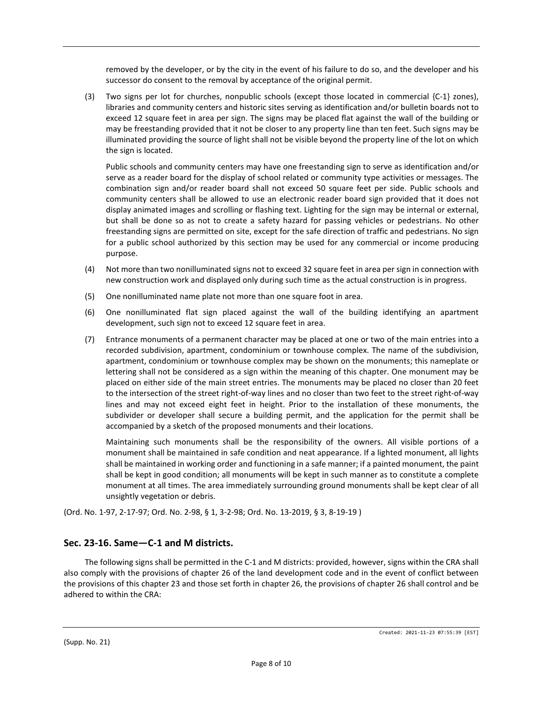removed by the developer, or by the city in the event of his failure to do so, and the developer and his successor do consent to the removal by acceptance of the original permit.

(3) Two signs per lot for churches, nonpublic schools (except those located in commercial {C-1} zones), libraries and community centers and historic sites serving as identification and/or bulletin boards not to exceed 12 square feet in area per sign. The signs may be placed flat against the wall of the building or may be freestanding provided that it not be closer to any property line than ten feet. Such signs may be illuminated providing the source of light shall not be visible beyond the property line of the lot on which the sign is located.

Public schools and community centers may have one freestanding sign to serve as identification and/or serve as a reader board for the display of school related or community type activities or messages. The combination sign and/or reader board shall not exceed 50 square feet per side. Public schools and community centers shall be allowed to use an electronic reader board sign provided that it does not display animated images and scrolling or flashing text. Lighting for the sign may be internal or external, but shall be done so as not to create a safety hazard for passing vehicles or pedestrians. No other freestanding signs are permitted on site, except for the safe direction of traffic and pedestrians. No sign for a public school authorized by this section may be used for any commercial or income producing purpose.

- (4) Not more than two nonilluminated signs not to exceed 32 square feet in area per sign in connection with new construction work and displayed only during such time as the actual construction is in progress.
- (5) One nonilluminated name plate not more than one square foot in area.
- (6) One nonilluminated flat sign placed against the wall of the building identifying an apartment development, such sign not to exceed 12 square feet in area.
- (7) Entrance monuments of a permanent character may be placed at one or two of the main entries into a recorded subdivision, apartment, condominium or townhouse complex. The name of the subdivision, apartment, condominium or townhouse complex may be shown on the monuments; this nameplate or lettering shall not be considered as a sign within the meaning of this chapter. One monument may be placed on either side of the main street entries. The monuments may be placed no closer than 20 feet to the intersection of the street right-of-way lines and no closer than two feet to the street right-of-way lines and may not exceed eight feet in height. Prior to the installation of these monuments, the subdivider or developer shall secure a building permit, and the application for the permit shall be accompanied by a sketch of the proposed monuments and their locations.

Maintaining such monuments shall be the responsibility of the owners. All visible portions of a monument shall be maintained in safe condition and neat appearance. If a lighted monument, all lights shall be maintained in working order and functioning in a safe manner; if a painted monument, the paint shall be kept in good condition; all monuments will be kept in such manner as to constitute a complete monument at all times. The area immediately surrounding ground monuments shall be kept clear of all unsightly vegetation or debris.

(Ord. No. 1-97, 2-17-97; Ord. No. 2-98, § 1, 3-2-98; Ord. No. 13-2019, § 3, 8-19-19 )

# **Sec. 23-16. Same—C-1 and M districts.**

The following signs shall be permitted in the C-1 and M districts: provided, however, signs within the CRA shall also comply with the provisions of chapter 26 of the land development code and in the event of conflict between the provisions of this chapter 23 and those set forth in chapter 26, the provisions of chapter 26 shall control and be adhered to within the CRA: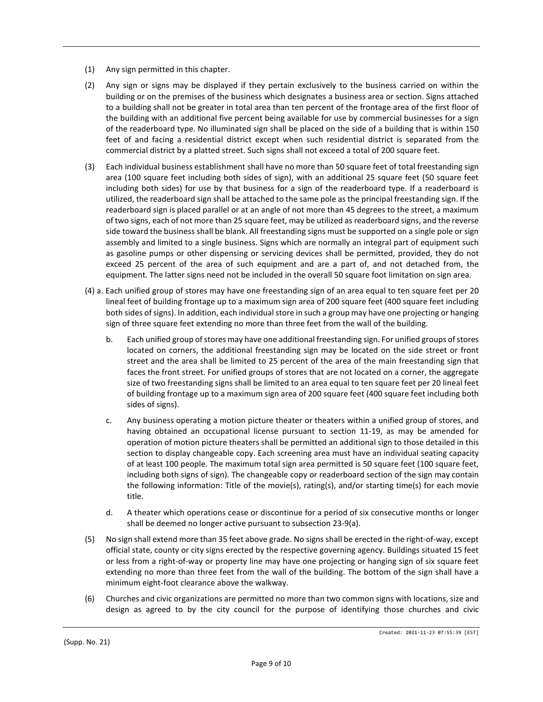- (1) Any sign permitted in this chapter.
- (2) Any sign or signs may be displayed if they pertain exclusively to the business carried on within the building or on the premises of the business which designates a business area or section. Signs attached to a building shall not be greater in total area than ten percent of the frontage area of the first floor of the building with an additional five percent being available for use by commercial businesses for a sign of the readerboard type. No illuminated sign shall be placed on the side of a building that is within 150 feet of and facing a residential district except when such residential district is separated from the commercial district by a platted street. Such signs shall not exceed a total of 200 square feet.
- (3) Each individual business establishment shall have no more than 50 square feet of total freestanding sign area (100 square feet including both sides of sign), with an additional 25 square feet (50 square feet including both sides) for use by that business for a sign of the readerboard type. If a readerboard is utilized, the readerboard sign shall be attached to the same pole as the principal freestanding sign. If the readerboard sign is placed parallel or at an angle of not more than 45 degrees to the street, a maximum of two signs, each of not more than 25 square feet, may be utilized as readerboard signs, and the reverse side toward the business shall be blank. All freestanding signs must be supported on a single pole or sign assembly and limited to a single business. Signs which are normally an integral part of equipment such as gasoline pumps or other dispensing or servicing devices shall be permitted, provided, they do not exceed 25 percent of the area of such equipment and are a part of, and not detached from, the equipment. The latter signs need not be included in the overall 50 square foot limitation on sign area.
- (4) a. Each unified group of stores may have one freestanding sign of an area equal to ten square feet per 20 lineal feet of building frontage up to a maximum sign area of 200 square feet (400 square feet including both sides of signs). In addition, each individual store in such a group may have one projecting or hanging sign of three square feet extending no more than three feet from the wall of the building.
	- b. Each unified group of stores may have one additional freestanding sign. For unified groups of stores located on corners, the additional freestanding sign may be located on the side street or front street and the area shall be limited to 25 percent of the area of the main freestanding sign that faces the front street. For unified groups of stores that are not located on a corner, the aggregate size of two freestanding signs shall be limited to an area equal to ten square feet per 20 lineal feet of building frontage up to a maximum sign area of 200 square feet (400 square feet including both sides of signs).
	- c. Any business operating a motion picture theater or theaters within a unified group of stores, and having obtained an occupational license pursuant to section 11-19, as may be amended for operation of motion picture theaters shall be permitted an additional sign to those detailed in this section to display changeable copy. Each screening area must have an individual seating capacity of at least 100 people. The maximum total sign area permitted is 50 square feet (100 square feet, including both signs of sign). The changeable copy or readerboard section of the sign may contain the following information: Title of the movie(s), rating(s), and/or starting time(s) for each movie title.
	- d. A theater which operations cease or discontinue for a period of six consecutive months or longer shall be deemed no longer active pursuant to subsection 23-9(a).
- (5) No sign shall extend more than 35 feet above grade. No signs shall be erected in the right-of-way, except official state, county or city signs erected by the respective governing agency. Buildings situated 15 feet or less from a right-of-way or property line may have one projecting or hanging sign of six square feet extending no more than three feet from the wall of the building. The bottom of the sign shall have a minimum eight-foot clearance above the walkway.
- (6) Churches and civic organizations are permitted no more than two common signs with locations, size and design as agreed to by the city council for the purpose of identifying those churches and civic